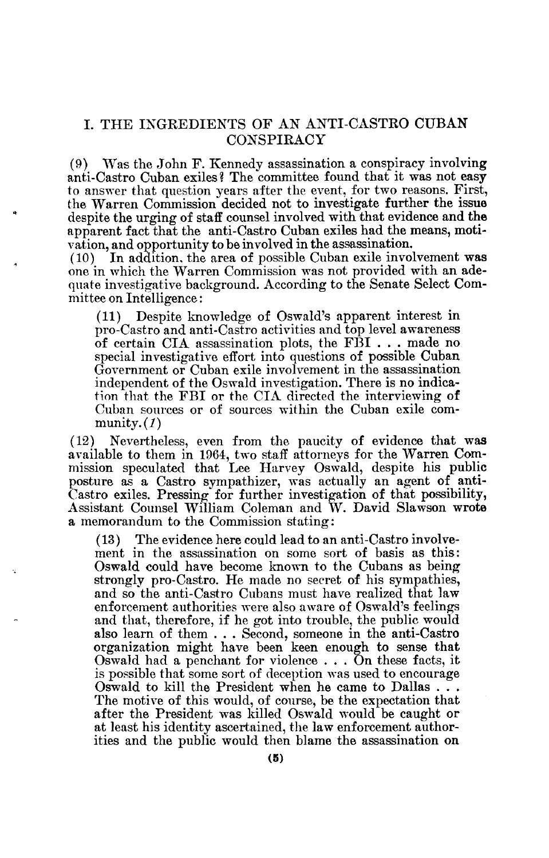## I. THE INGREDIENTS OF AN ANTI-CASTRO CUBAN CONSPIRACY

(9) Was the John F. Kennedy assassination <sup>a</sup> conspiracy involving anti-Castro Cuban exiles? The committee found that it was not easy to answer that question years after the event, for two reasons. First, the Warren Commission decided not to investigate further the issue despite the urging of staff counsel involved with that evidence and the apparent fact that the anti-Castro Cuban exiles had the means, motivation, and opportunity to be involved in the assassination.<br>(10) In addition, the area of possible Cuban exile invol

In addition. the area of possible Cuban exile involvement was one in which the Warren Commission was not provided with an adequate investigative background. According to the Senate Select Committee on Intelligence :

(11) Despite knowledge of Oswald's apparent interest in pro-Castro and anti-Castro activities and top level awareness of certain CIA assassination plots, the FBI . . . made no special investigative effort into questions of possible Cuban Government or Cuban exile involvement in the assassination independent of the Oswald investigation. There is no indication that the FBI or the CIA directed the interviewing of Cuban sources or of sources within the Cuban exile community. $(1)$ 

(12) Nevertheless, even from the paucity of evidence that was available to them in 1964, two staff attorneys for the Warren Commission speculated that Lee Harvey Oswald, despite his public posture as a Castro sympathizer, was actually an agent of anti-Castro exiles. Pressing for further investigation of that possibility, Assistant Counsel William Coleman and W. David Slawson wrote a memorandum to the Commission stating :

(13) The evidence here could lead to an anti-Castro involvement in the assassination on some sort of basis as this: Oswald could have become known to the Cubans as being strongly pro-Castro. He made no secret of his sympathies, and so the anti-Castro Cubans must have realized that law enforcement authorities were also aware of Oswald's feelings and that, therefore, if he got into trouble, the public would also learn of them . . . Second, someone in the anti-Castro organization might have been keen enough to sense that Oswald had a penchant for violence . . . On these facts, it is possible that some sort of deception was used to encourage Oswald to kill the President when he came to Dallas . . . The motive of this would, of course, be the expectation that after the President was killed Oswald would be caught or at least his identity ascertained, the law enforcement authorities and the public would then blame the assassination on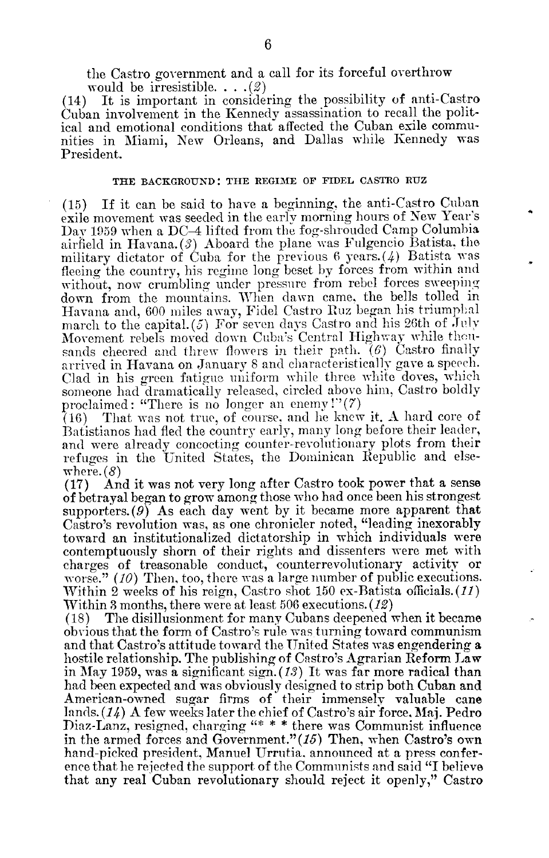the Castro government and a call for its forceful overthrow

would be irresistible. . . .  $(2)$ <br>(14) It is important in consider It is important in considering the possibility of anti-Castro Cuban involvement in the Kennedy assassination to recall the political and emotional conditions that affected the Cuban exile communities in Miami, New Orleans, and Dallas while Kennedy was President.

## THE BACKGROUND: THE REGIME OF FIDEL CASTRO RUZ

(15) If it can be said to have a beginning, the anti-Castro Cuban exile movement was seeded in the early morning hours of New Year's Day <sup>1959</sup> when a DC-4 lifted from the fog-shrouded Camp Columbia airfield in Havana.(3) Aboard the plane was Fulgencio Batista, the military dictator of Cuba for the previous 6 years. $(4)$  Batista was fleeing the country, his regime long beset by forces from within and without, now crumbling under pressure from rebel forces sweeping down from the mountains. When dawn came, the bells tolled in Havana and, 600 miles away, Fidel Castro Ruz began his triumphal march to the capital. $(5)$  For seven days Castro and his 26th of July Movement rebels moved down Cuba's Central Highway while thensands cheered and threw flowers in their path. (6) Castro finally arrived in Havana on January 8 and characteristically gave a speech . Clad in his green fatigue uniform while three white doves, which someone had dramatically released, circled above him, Castro boldly

proclaimed: "There is no longer an enemy!" $(7)$ <br> $(16)$  That was not true, of course, and he knew That was not true, of course, and he knew it. A hard core of Batistianos had fled the country early, many long before their leader, and were already concocting counter-revolutionary plots from their refuges in the United States, the Dominican Republic and else-

where.  $(8)$ <br> $(17)$  An And it was not very long after Castro took power that a sense of betrayal began to grow among those who had once been his strongest supporters.  $(9)$  As each day went by it became more apparent that Castro's revolution was, as one chronicler noted, "leading inexorably toward an institutionalized dictatorship in which individuals were contemptuously shorn of their rights and dissenters were met with charges of treasonable conduct, counterrevolutionary activity or worse." (10) Then, too, there was a large number of public executions. Within 2 weeks of his reign, Castro shot 150 ex-Batista officials. (11)

Within 3 months, there were at least  $506$  executions.  $(12)$  (18) The disillusionment for many Cubans deepened The disillusionment for many Cubans deepened when it became obvious that the form of Castro's rule was turning toward communism and that Castro's attitude toward the United States was engendering a hostile relationship. The publishing of Castro's Agrarian Reform Law in May 1959, was a significant sign. (13) It was far more radical than had been expected and was obviously designed to strip both Cuban and American-owned sugar firms of their immensely valuable cane lands. (14) A few weeks later the chief of Castro's air force, Maj. Pedro Diaz-Lanz, resigned, charging "\* \* \* there was Communist influence in the armed forces and Government." $(15)$  Then, when Castro's own hand-picked president, Manuel Urrutia, announced at a press conferencethat he rejected the support of the Communists and said "I believe that any real Cuban revolutionary should reject it openly," Castro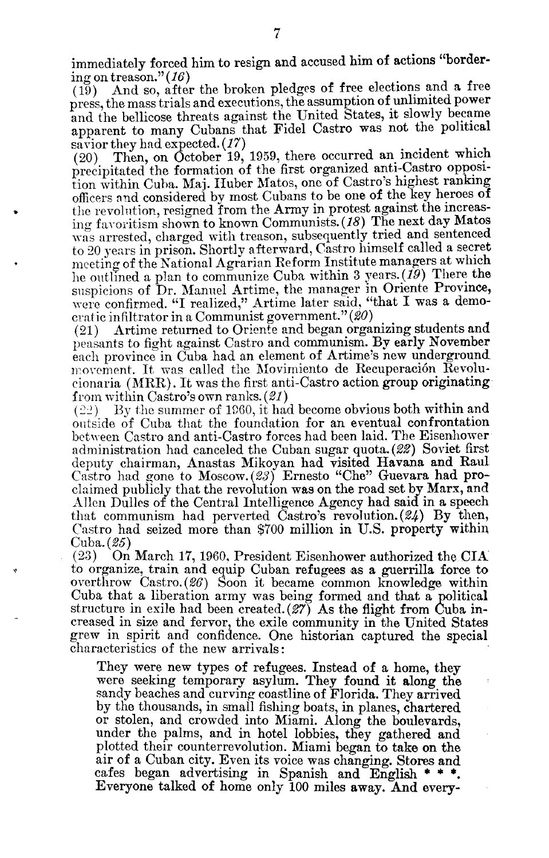immediately forced him to resign and accused him of actions "border-

ing on treason." $(16)$ <br>(19) And so, after And so, after the broken pledges of free elections and a free press, the mass trials and executions, the assumption of unlimited power and the bellicose threats against the United States, it slowly became apparent to many Cubans that Fidel Castro was not the political

savior they had expected.  $(17)$ <br> $(20)$  Then, on October 19, Then, on October 19, 1959, there occurred an incident which precipitated the formation of the first organized anti-Castro opposition within Cuba. Maj. Huber Matos, one of Castro's highest ranking officers and considered by most Cubans to be one of the key heroes of the revolution, resigned from the Army in protest against the increasing favoritism shown to known Communists. (18) The next day Matos was arrested, charged with treason, subsequently tried and sentenced to 20 years in prison. Shortly afterward, Castro himself called a secret meeting of the National Agrarian Reform Institute managers at which he outlined a plan to communize Cuba within 3 years. (19) There the suspicions of Dr. Manuel Artime, the manager in Oriente Province, were confirmed. "I realized," Artime later said, "that I was a democratic infiltrator in a Communist government." (20)

(21) Artime returned to Oriente and began organizing students and peasants to fight against Castro and communism. By early November each province in Cuba had an element of Artime's new underground movement. It was called the Movimiento de Recuperación Revolucionaria ( $MRR$ ). It was the first anti-Castro action group originating from within Castro's own ranks.  $(21)$ <br>(22) By the summer of 1960, it has

By the summer of 1960, it had become obvious both within and outside of Cuba that the foundation for an eventual confrontation between Castro and anti-Castro forces had been laid. The Eisenhower administration had canceled the Cuban sugar quota. (22) Soviet first deputy chairman, Anastas Mikoyan had visited Havana and Raul Castro had gone to Moscow. (23) Ernesto "Che" Guevara had proclaimed publicly that the revolution was on the road set by Marx, and Allen Dulles of the Central Intelligence Agency had said in a speech that communism had perverted Castro's revolution.  $(24)$  By then, Castro had seized more than \$700 million in U.S . property within, Cuba.  $(25)$ <br>(23) On

(23) On March 17, 1960, President Eisenhower authorized the CIA to organize, train and equip Cuban refugees as a guerrilla force to overthrow Castro . (26) Soon it became common knowledge within Cuba that a liberation army was being formed and that a political<br>structure in evils had been exacted  $(2\alpha)$ . As the flight from Cube in structure in exile had been created.  $(27)$  As the flight from Cuba increased in size and fervor, the exile community in the United States grew in spirit and confidence . One historian captured the special characteristics of the new arrivals

They were new types of refugees. Instead of a home, they were seeking temporary asylum. They found it along the sandy beaches and curving coastline of Florida. They arrived by the thousands, in small fishing boats, in planes, chartered or stolen, and crowded into Miami. Along the boulevards, under the palms, and in hotel lobbies, they gathered and plotted their counterrevolution . Miami began to take on the air of a Cuban city. Even its voice was changing. Stores and cafes began advertising in Spanish and English  $* * *$ . Everyone talked of home only 100 miles away. And every-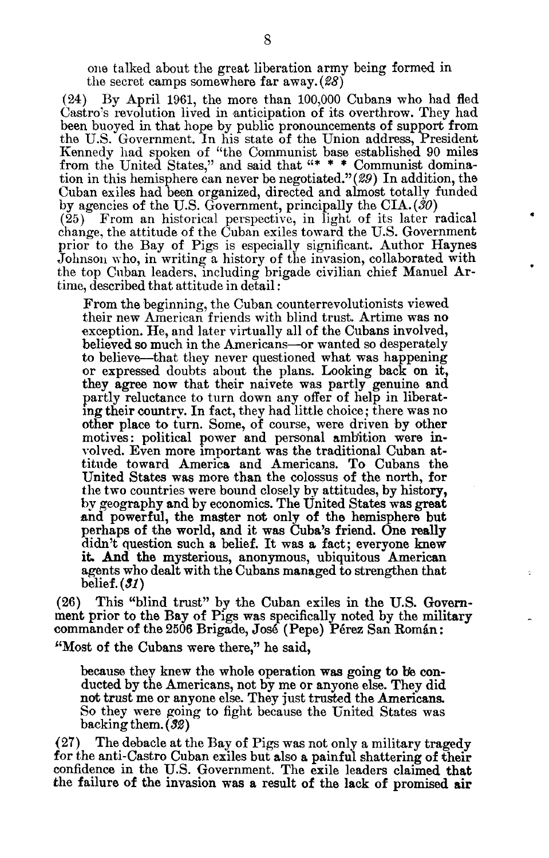one talked about the great liberation army being formed in the secret camps somewhere far away. $(28)$ 

(24) By April 1961, the more than 100,000 Cubans who had fled Castro's revolution lived in anticipation of its overthrow. They had been buoyed in that hope by public pronouncements of support from the U.S . Government. In his state of the Union address, President Kennedy had spoken of "the Communist base established 90 miles from the United States," and said that "\* \* \* Communist domination in this hemisphere can never be negotiated." $(29)$  In addition, the Cuban exiles had been organized, directed and almost totally funded by agencies of the U.S. Government, principally the CIA.  $(\dot{30})$  (25) From an historical perspective, in light of its later r From an historical perspective, in light of its later radical change, the attitude of the Cuban exiles toward the U.S. Government prior to the Bay of Pigs is especially significant. Author Haynes Johnson who, in writing a history of the invasion, collaborated with the top Cuban leaders, including brigade civilian chief Manuel Ar-

From the beginning, the Cuban counterrevolutionists viewed their new American friends with blind trust. Artime was no exception. He, and later virtually all of the Cubans involved, believed so much in the Americans-or wanted so desperately to believe-that they never questioned what was happening or expressed doubts about the plans. Looking back on it, they agree now that their naivete was partly genuine and partly reluctance to turn down any offer of help in liberating their country. In fact, they had little choice ; there was no other place to turn. Some, of course, were driven by other motives: political power and personal ambition were involved. Even more important was the traditional Cuban attitude toward America and Americans. To Cubans the United States was more than the colossus of the north, for the two countries were bound closely by attitudes, by history, by geography and by economics. The United States was great and powerful, the master not only of the hemisphere but perhaps of the world, and it was Cuba's friend. One really didn't question such a belief. It was a fact; everyone knew it. And the mysterious, anonymous, ubiquitous American agents whodealt with the Cubans managed to strengthen that belief.  $(31)$ 

(26) This "blind trust" by the Cuban exiles in the U.S. Govern-ment prior to the Bay of Pigs was specifically noted by the military commander of the 2506 Brigade, José (Pepe) Pérez San Román:

"Most of the Cubans were there," he said,

time, described that attitude in detail

because they knew the whole operation was going to be conducted by the Americans, not by me or anyone else. They did not trust me or anyone else. They just trusted the Americans. So they were going to fight because the United States was backing them.  $(32)$ 

(27) The debacle at the Bay of Pigs was not only a military tragedy for the anti-Castro Cuban exiles but also a painful shattering of their confidence in the U.S. Government. The exile leaders claimed that the failure of the invasion was a result of the lack of promised air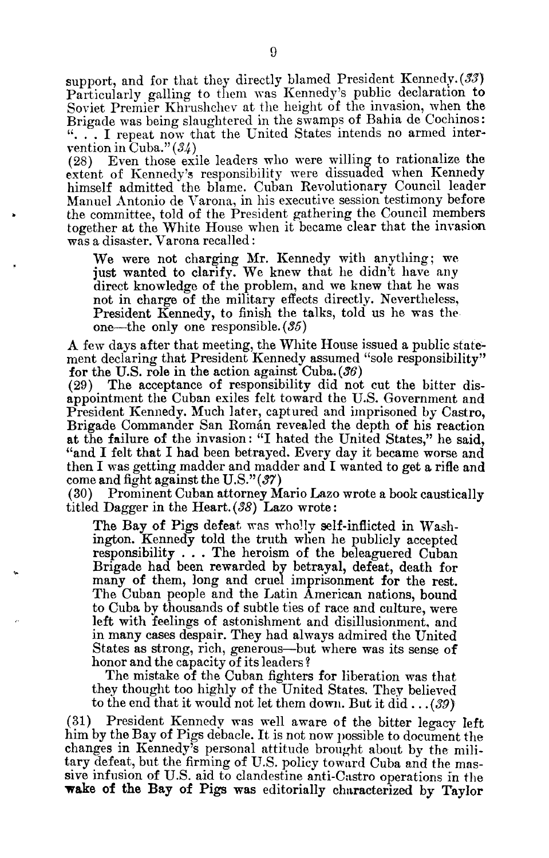support, and for that they directly blamed President Kennedy. (33) Particularly galling to them was Kennedy's public declaration to Soviet Premier Khrushchev at the height of the invasion, when the Brigade was being slaughtered in the swamps of Bahia de Cochinos : ". . . I repeat now that the United States intends no armed inter-

vention in Cuba."  $(34)$ <br>(28) Even those exi Even those exile leaders who were willing to rationalize the extent of Kennedy's responsibility were dissuaded when Kennedy himself admitted the blame. Cuban Revolutionary Council leader Manuel Antonio de Varona, in his executive session testimony before the committee, told of the President gathering the Council members together at the White House when it became clear that the invasion was a disaster. Varona recalled

We were not charging Mr. Kennedy with anything; we just wanted to clarify. We knew that he didn't have any direct knowledge of the problem, and we knew that he was not in charge of the military effects directly. Nevertheless, President Kennedy, to finish the talks, told us he was the one—the only one responsible.  $(35)$ 

Afew days after that meeting, the White House issued <sup>a</sup> public statement declaring that President Kennedy assumed "sole responsibility" for the U.S. role in the action against  $Cuba. (36)$ 

(29) The acceptance of responsibility did not cut the bitter disappointment the Cuban exiles felt toward the U.S . Government and President Kennedy. Much later, captured and imprisoned by Castro, Brigade Commander San Roman revealed the depth of his reaction at the failure of the invasion : "I hated the United States," he said, "and I felt that I had been betrayed. Every day it became worse and then I was getting madder and madder and I wanted to get a rifle and come and fight against the U.S." $(37)$ 

(30) Prominent Cuban attorney Mario Lazo wrote a book caustically titled Dagger in the Heart.  $(38)$  Lazo wrote:

The Bay of Pigs defeat was wholly self-inflicted in Washington. Kennedy told the truth when he publicly accepted responsibility . . . The heroism of the beleaguered Cuban Brigade had been rewarded by betrayal, defeat, death for many of them, long and cruel imprisonment for the rest. The Cuban people and the Latin American nations, bound to Cuba by thousands of subtle ties of race and culture, were left with feelings of astonishment and disillusionment, and in many cases despair. They had always admired the United States as strong, rich, generous-but where was its sense of honor and the capacity of its leaders?

The mistake of the Cuban fighters for liberation was that they thought too highly of the United States. They believed to the end that it would not let them down. But it did  $\ldots$  (39)

(31) President Kennedy was well aware of the bitter legacy left him by the Bay of Pigs debacle. It is not now possible to document the changes in Kennedy's personal attitude brought about by the military defeat, but the firming of U.S. policy toward Cuba and the massive infusion of U.S. aid to clandestine anti-Castro operations in the wake of the Bay of Pigs was editorially characterized by Taylor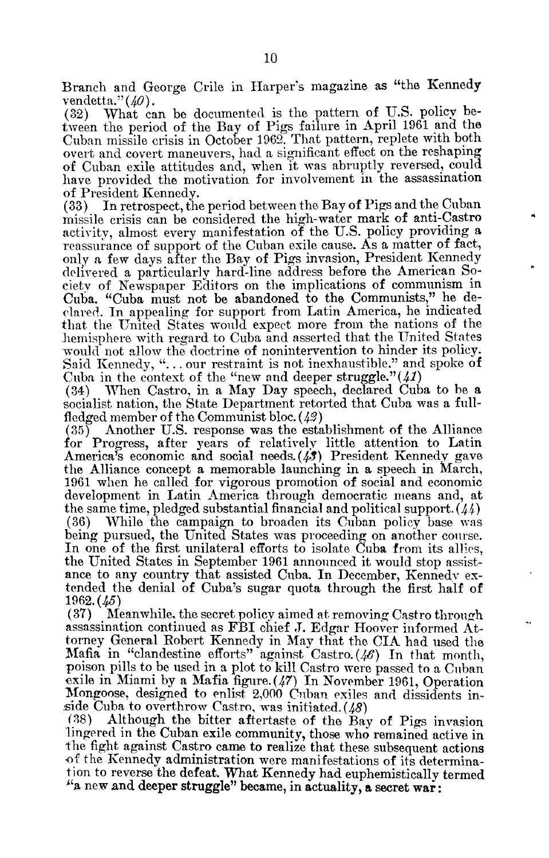Branch and George Crile in Harper's magazine as "the Kennedy

vendetta." $(40)$ .<br>(32) What ca What can be documented is the pattern of U.S. policy between the period of the Bay of Pigs failure in April 1961 and the Cuban missile crisis in October 1962. That pattern, replete with both overt and covert maneuvers, had a significant effect on the reshaping of Cuban exile attitudes and, when it was abruptly reversed, could have provided the motivation for involvement in the assassination of President Kennedy.

(33) In retrospect, the period between the Bay of Pigs and the Cuban missile crisis can be considered the high-water mark of anti-Castro activity, almost every manifestation of the U.S. policy providing a reassurance of support of the Cuban exile cause. As a matter of fact, only a few days after the Bay of Pigs invasion, President Kennedy delivered a particularly hard-line address before the American Society of Newspaper Editors on the implications of communism in Cuba. "Cuba must not be abandoned to the Communists," he declared. In appealing for support from Latin America, he indicated that the United States would expect more from the nations of the hemisphere with regard to Cuba and asserted that the United States would not allow the doctrine of nonintervention to hinder its policy. Said Kennedy, "... our restraint is not inexhaustible." and spoke of Cuba in the context of the "new and deeper struggle." $(l,1)$ 

(34) When Castro, in a May Day speech, declared Cuba to be a socialist nation, the State Department retorted that Cuba was a full-

fledged member of the Communist bloc.  $(43)$ <br>(35) Another U.S. response was the esta Another U.S. response was the establishment of the Alliance for Progress, after years of relatively little attention to Latin America's economic and social needs. (43) President Kennedy gave the Alliance concept a memorable launching in a speech in March, 1961 when he called for vigorous promotion of social and economic development in Latin America through democratic means and, at the same time, pledged substantial financial and political support.  $(44)$ <br>(36) While the campaign to broaden its Cuban policy base was While the campaign to broaden its Cuban policy base was being pursued, the United States was proceeding on another course. In one of the first unilateral efforts to isolate Cuba from its allies, the United States in September 1961 announced it would stop assistance to any country that assisted Cuba. In December, Kennedy extended the denial of Cuba's sugar quota through the first half of  $1962. (45)$ <br>(37) Me

Meanwhile, the secret policy aimed at removing Castro through assassination continued as FBI chief J. Edgar Hoover informed Attorney General Robert Kennedy in May that the CIA had used the Mafia in "clandestine efforts" against Castro.  $(46)$  In that month, poison pills to be used in a plot to kill Castro were passed to a Cuban exile in Miami by a Mafia figure  $(47)$  In November 1961, Operation Mongoose, designed to enlist 2,000 Cuban exiles and dissidents in side Cuba to overthrow Castro, was initiated.  $(48)$ <br>(38) Although the bitter aftertaste of the Bay

Although the bitter aftertaste of the Bay of Pigs invasion lingered in the Cuban exile community, those who remained active in the fight against Castro came to realize that these subsequent actions of the Kennedy administration were manifestations of its determination to reverse the defeat. What Kennedy had euphemistically termed "a new and deeper struggle" became, in actuality, a secret war: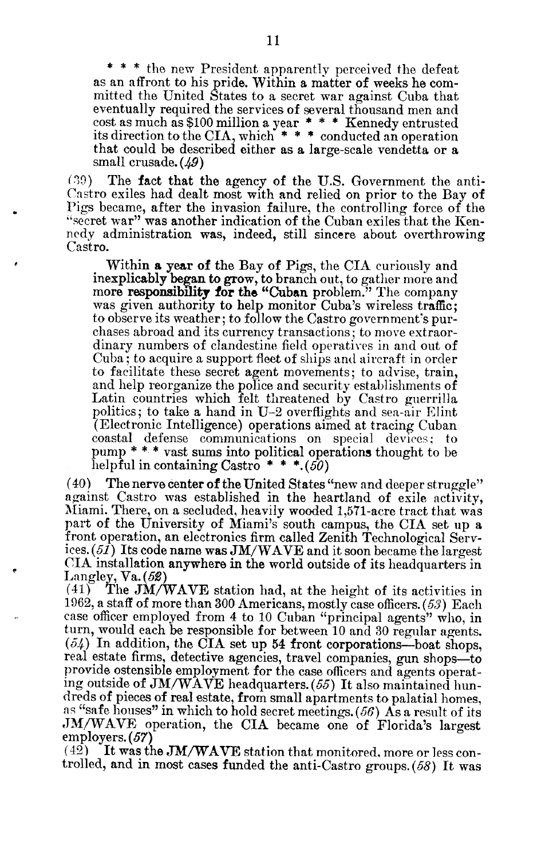\* the new President apparently perceived the defeat as an affront to his pride. Within a matter of weeks he committed the United States to a secret war against Cuba that eventually required the services of several thousand men and cost as much as \$100 million a year \* \* \* Kennedy entrusted its direction to the CIA, which \* \* \* conducted an operation that could be described either as a large-scale vendetta or a small crusade. (49)

(39) The fact that the agency of the U.S. Government the anti-Castro exiles had dealt most with and relied on prior to the Bay of Pigs became, after the invasion failure, the controlling force of the "secret war" was another indication of the Cuban exiles that the Kennedy administration was, indeed, still sincere about overthrowing Castro.

Within a year of the Bay of Pigs, the CIA curiously and inexplicably began to grow, to branch out, to gather more and more responsibility for the "Cuban problem." The company was given authority to help monitor Cuba's wireless traffic; to observe its weather ; to follow the Castro government's purchases abroad and its currency transactions ; to move extraordinary numbers of clandestine field operatives in and out of Cuba ; to acquire a support fleet of ships and aircraft in order to facilitate these secret agent movements; to advise, train, and help reorganize the police and security establishments of Latin countries which felt threatened by Castro guerrilla politics ; to take a hand in U-2 overflights and sea-air Elint (Electronic Intelligence) operations aimed at tracing Cuban coastal defense communications on special devices; to pump \* \* \* vast sums into political operations thought to be helpful in containing Castro \* \* \*.  $(50)$ 

(40) The nerve center of the United States "new and deeper struggle" against Castro was established in the heartland of exile activity, Miami. There, on a secluded, heavily wooded 1,571-acre tract that was part of the University of Miami's south campus, the CIA set up <sup>a</sup> front operation, an electronics firm called Zenith Technological Services.  $(51)$  Its code name was  $JM/WAVE$  and it soon became the largest CIA installation anywhere in the world outside of its headquarters in Langley, Va. (52)<br>(41) The JM/V

The  $JM/WAVE$  station had, at the height of its activities in 1962, a staff of more than 300 Americans, mostly case officers. (53) Each case officer employed from 4 to 10 Cuban "principal agents" who, in turn, would each be responsible for between 10 and 30 regular agents.  $(54)$  In addition, the CIA set up 54 front corporations-boat shops, real estate firms, detective agencies, travel companies, gun shops-to provide ostensible employment for the case officers and agents operating outside of  $JM/W\bar{A}V\bar{E}$  headquarters. (55) It also maintained hundreds of pieces of real estate, from small apartments to palatial homes, as "safe houses" in which to hold secret meetings. (56) As a result of its JM/WAVE operation, the CIA became one of Florida's largest  $\begin{array}{c} \text{emplovers.} (57) \ \text{(42)} \quad \text{It was th} \end{array}$ 

It was the JM/WAVE station that monitored, more or less controlled, and in most cases funded the anti-Castro groups. (58) It was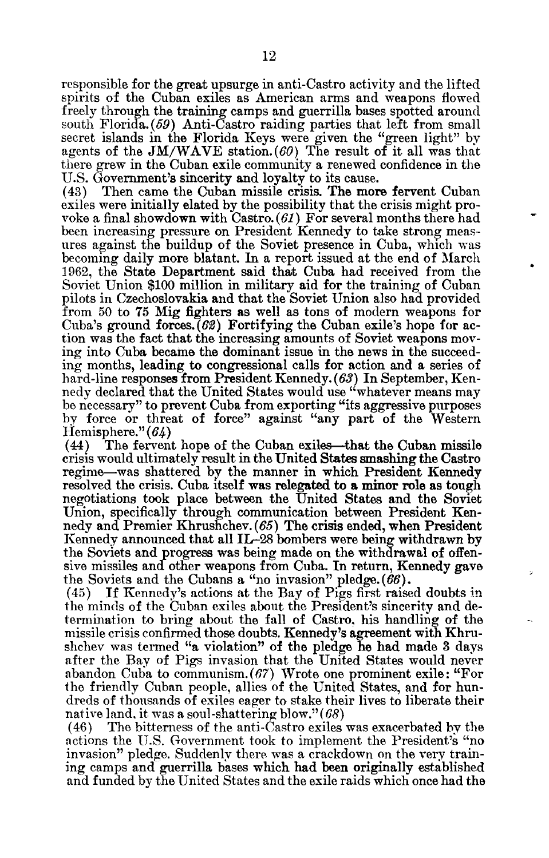responsible for the great upsurge in anti-Castro activity and the lifted spirits of the Cuban exiles as American arms and weapons flowed freely through the training camps and guerrilla bases spotted around south Florida. $(59)$  Anti-Castro raiding parties that left from small secret islands in the Florida Keys were given the "green light" by agents of the  $JM/WAVE$  station.(60) The result of it all was that there grew in the Cuban exile community a renewed confidence in the U.S. Government's sincerity and loyalty to its cause.<br>(43) Then came the Cuban missile crisis. The mor

Then came the Cuban missile crisis. The more fervent Cuban exiles were initially elated by the possibility that the crisis might provoke a final showdown with Castro.  $(61)$  For several months there had been increasing pressure on President Kennedy to take strong measures against the buildup of the Soviet presence in Cuba, which was becoming daily more blatant. In a report issued at the end of March 1962, the State Department said that Cuba had received from the Soviet Union \$100 million in military aid for the training of Cuban pilots in Czechoslovakia and that the Soviet Union also had provided from 50 to 75 Mig fighters as well as tons of modern weapons for Cuba's ground forces. (62) Fortifying the Cuban exile's hope for action was the fact that the increasing amounts of Soviet weapons moving into Cuba became the dominant issue in the news in the succeeding months, leading to congressional calls for action and a series of hard-line responses from President Kennedy. (63) In September, Kennedy declared that the United States would use "whatever means may be necessary" to prevent Cuba from exporting "its aggressive purposes by force or threat of force" against "any part of the Western Hemisphere."  $(64)$ <br>(44) The ferven

The fervent hope of the Cuban exiles—that the Cuban missile crisis would ultimately result in the United States smashing the Castro regime—was shattered by the manner in which President Kennedy resolved the crisis. Cuba itself was relegated to a minor role as tough negotiations took place between the United States and the Soviet Union, specifically through communication between President Kennedy and Premier Khrushchev. (65) The crisis ended, when President Kennedy announced that all IL-28 bombers were being withdrawn by the Soviets and progress was being made on the withdrawal of offensive missiles and other weapons from Cuba. In return, Kennedy gave the Soviets and the Cubans a "no invasion" pledge  $(66)$ .<br>(45) If Kennedy's actions at the Bay of Pigs first raise

If Kennedy's actions at the Bay of Pigs first raised doubts in the minds of the Cuban exiles about the President's sincerity and determination to bring about the fall of Castro, his handling of the missile crisis confirmed those doubts. Kennedy's agreement with Khrushchev was termed "a violation" of the pledge he had made 3 days after the Bay of Pigs invasion that the United States would never abandon Cuba to communism. (67) Wrote one prominent exile: "For the friendly Cuban people, allies of the United States, and for hundreds of thousands of exiles eager to stake their lives to liberate their native land, it was a soul-shattering blow." $(68)$ <br>(46) The bitterness of the anti-Castro exiles

The bitterness of the anti-Castro exiles was exacerbated by the actions the U.S . Government took to implement the President's "no invasion" pledge. Suddenly there was a crackdown on the very training camps and guerrilla bases which had been originally established and funded by the United States and the exile raids which once had the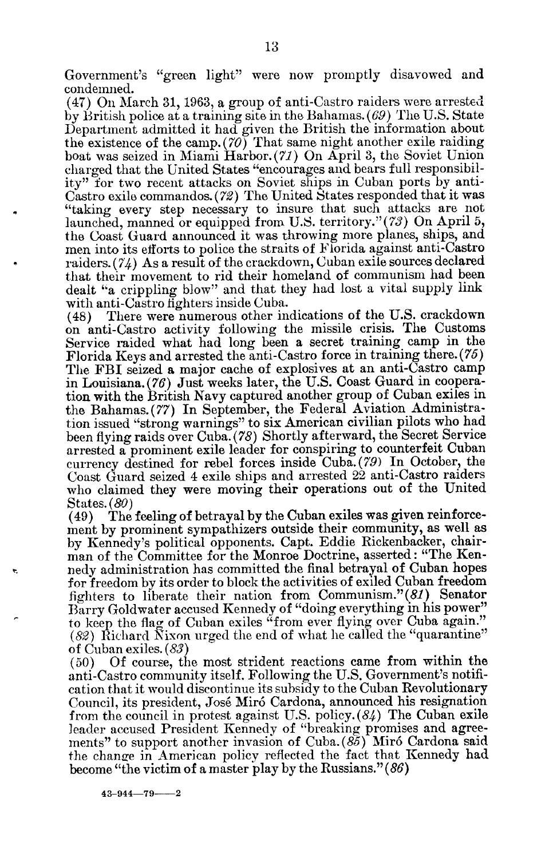Government's "green light" were now promptly disavowed and condemned.

(47) On March 31, 1963, a group of anti-Castro raiders were arrested by British police at a training site in the Bahamas.  $(69)$  The U.S. State Department admitted it had given the British the information about the existence of the camp. (70) That same night another exile raiding boat was seized in Miami Harbor. (71) On April 3, the Soviet Union charged that the United States "encourages and bears full responsibility" for two recent attacks on Soviet ships in Cuban ports by anti-Castro exile commandos. (72) The United States responded that it was "taking every step necessary to insure that such attacks are not launched, manned or equipped from U.S. territory." (73) On April 5, the Coast Guard announced it was throwing more planes, ships, and men into its efforts to police the straits of Florida against anti-Castro raiders. (74) As a result of the crackdown, Cuban exile sources declared that their movement to rid their homeland of communism had been dealt "a crippling blow" and that they had lost a vital supply link

with anti-Castro fighters inside Cuba.<br>(48) There were numerous other in There were numerous other indications of the U.S. crackdown on anti-Castro activity following the missile crisis. The Customs Service raided what had long been a secret training camp in the Florida Keys and arrested the anti-Castro force in training there. (75) The FBI seized a major cache of explosives at an anti-Castro camp in Louisiana. (76) Just weeks later, the U.S. Coast Guard in cooperation with the British Navy captured another group of Cuban exiles in the Bahamas. (77) In September, the Federal Aviation Administration issued "strong warnings" to six American civilian pilots who had been flying raids over Cuba. (78) Shortly afterward, the Secret Service arrested <sup>a</sup> prominent exile leader for conspiring to counterfeit Cuban currency destined for rebel forces inside Cuba. (79) In October, the Coast Guard seized 4 exile ships and arrested 22 anti-Castro raiders who claimed they were moving their operations out of the United

States. (80)<br>(49) The The feeling of betrayal by the Cuban exiles was given reinforcement by prominent sympathizers outside their community, as well as by Kennedy's political opponents. Capt. Eddie Rickenbacker, chairman of the Committee for the Monroe Doctrine, asserted : "The Kennedy administration has committed the final betrayal of Cuban hopes for freedom by its order to block the activities of exiled Cuban freedom fighters to liberate their nation from Communism." (81) Senator Barry Goldwater accused Kennedy of "doing everything in his power" to keep. the flag of Cuban exiles "from ever flying over Cuba again." (82) Richard Nixon urged the end of what he called the "quarantine" of Cuban exiles. (83)

(50) Of course, the most strident reactions came from within the anti-Castro community itself. Following the U.S. Government's notification that it would discontinue its subsidy to the Cuban Revolutionary Council, its president, Jose Miro Cardona, announced his resignation from the council in protest against U.S. policy.  $(84)$  The Cuban exile leader accused President Kennedy of "breaking promises and agreements" to support another invasion of Cuba.  $(85)$  Miró Cardona said the change in American policy reflected the fact that Kennedy had become "the victim of a master play by the Russians."  $(86)$ 

 $43 - 944 - 79 - 2$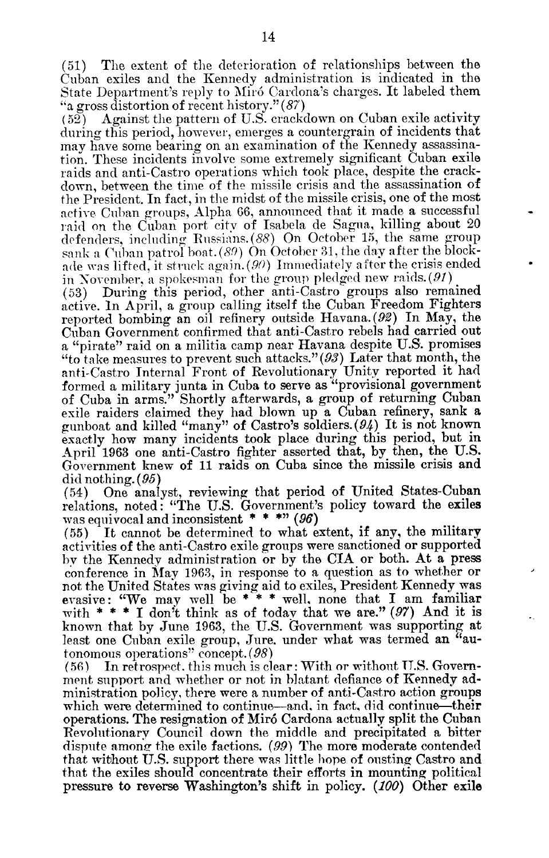(51) The extent of the deterioration of relationships between the Cuban exiles and the Kennedy administration is indicated in the State Department's reply to Miró Cardona's charges. It labeled them "a gross distortion of recent history."  $(87)$ <br>(52) Against the pattern of U.S. crack

Against the pattern of U.S. crackdown on Cuban exile activity during this period, however, emerges a countergrain of incidents that may have some bearing on an examination of the Kennedy assassination. These incidents involve some extremely significant Cuban exile raids and anti-Castro operations which took place, despite the crackdown, between the time of the missile crisis and the assassination of the President. In fact, in the midst of the missile crisis, one of the most active Cuban groups, Alpha 66, announced that it made <sup>a</sup> successful raid on the Cuban port city of Isabela de Sagua, killing about 20 defenders, including Russians (88) On October 15, the same group sank a Cuban patrol boat. (89) On October 31, the day after the blockade was lifted, it struck again. (90) Immediately after the crisis ended

in November, a spokesman for the group pledged new raids. $(91)$  (53) During this period, other anti-Castro groups also rema During this period, other anti-Castro groups also remained active. In April, a group calling itself the Cuban Freedom Fighters reported bombing an oil refinery outside Havana.  $(92)$  In May, the Cuban Government confirmed that anti-Castro rebels had carried out <sup>a</sup> "pirate" raid on <sup>a</sup> militia camp near Havana despite U.S. promises "to take measures to prevent such attacks."  $(93)$  Later that month, the anti-Castro Internal Front of Revolutionary Unity reported it had formed a military junta in Cuba to serve as "provisional government of Cuba in arms." Shortly afterwards, a group of returning Cuban exile raiders claimed they had blown up a Cuban refinery, sank a gunboat and killed "many" of Castro's soldiers.  $(94)$  It is not known exactly how many incidents took place during this period, but in April <sup>1963</sup> one anti-Castro fighter asserted that, by then, the U.S. Government knew of 11 raids on Cuba since the missile crisis and did nothing.  $(95)$ 

(54) One analyst, reviewing that period of United States-Cuban relations, noted: "The U.S. Government's policy toward the exiles was equivocal and inconsistent \* \* \*" (96)<br>(55) It cannot be determined to what  $e$ 

It cannot be determined to what extent, if any, the military activities of the anti-Castro exile groups were sanctioned or supported by the Kennedy administration or by the CIA or both. At a press conference in May 1963, in response to a question as to whether or not the United States was giving aid to exiles, President Kennedy was evasive: "We may well be  $* * *$  well, none that I am familiar<br>with  $* * * 1$  denit think as of today that we are  $\frac{200}{200}$  and it is with  $* * I$  don't think as of today that we are." (97) And it is known that by June 1963, the U.S . Government was supporting at least one Cuban exile group, Jure. under what was termed an "autonomous operations" concept. (98)

(56) In retrospect, this much is clear : With or without U.S . Government support and whether or not in blatant defiance of Kennedy administration policy, there were a number of anti-Castro action groups which were determined to continue—and, in fact, did continue—their operations. The resignation of Miró Cardona actually split the Cuban Revolutionary Council down the middle and precipitated a bitter dispute among the exile factions. (99) The more moderate contended that without U.S . support there was little hope of ousting Castro and that the exiles should concentrate their efforts in mounting political pressure to reverse Washington's shift in policy. (100) Other exile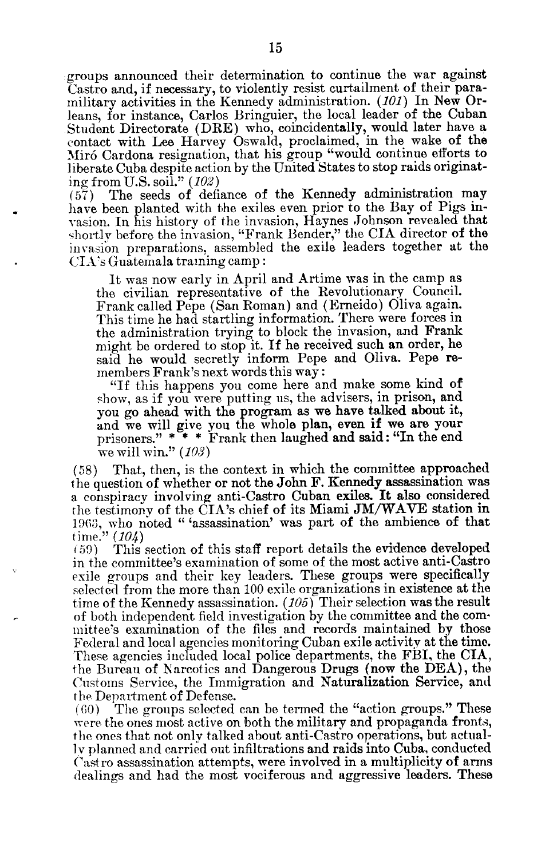groups announced their determination to continue the war against Castro and, if necessary, to violently resist curtailment of their paramilitary activities in the Kennedy administration. (101) In New Orleans, for instance, Carlos Bringuier, the local leader of the Cuban Student Directorate (DRE) who, coincidentally, would later have a contact with Lee Harvey Oswald, proclaimed, m the wake of the NIiro Cardona resignation, that his group "would continue efforts to <sup>11</sup> berate Cuba despite action by the United States to stop raids originat-

ing from U.S. soil."  $(102)$ <br> $(57)$  The seeds of defi The seeds of defiance of the Kennedy administration may have been planted with the exiles even prior to the Bay of Pigs invasion. In his history of the invasion, Haynes Johnson revealed that shortly before the invasion, "Frank Bender," the CIA director of the invasion preparations, assembled the exile leaders together at the CIA's Guatemala training camp:

It was now early in April and Artime was in the camp as the civilian representative of the Revolutionary Council. Frank called Pepe (San Roman) and (Erneido) Oliva again. This time he had startling information. There were forces in the administration trying to block the invasion, and Frank might be ordered to stop it. If he received such an order, he said he would secretly inform Pepe and Oliva. Pepe remembers Frank's next words this way

"If this happens you come here and make some kind of show, as if you were putting us, the advisers, in prison, and you go ahead with the program as we have talked about it, and we will give you the whole plan, even if we are your prisoners." \* \* \* Frank then laughed and said: "In the end" we will win."  $(103)$ 

(58) That, then, is the context in which the committee approached the question of whether or not the John F. Kennedy assassination was a conspiracy involving anti-Castro Cuban exiles. It also considered the testimony of the CIA's chief of its Miami JM/WAVE station in 1963, who noted " 'assassination' was part of the ambience of that time."  $(104)$ <br> $(59)$  This

This section of this staff report details the evidence developed in the committee's examination of some of the most active anti-Castro exile groups and their key leaders. These groups were specifically selected from the more than 100 exile organizations in existence at the time of the Kennedy assassination.  $(105)$  Their selection was the result of both independent field investigation by the committee and the committee's examination of the files and records maintained by those Federal and local agencies monitoring Cuban exile activity at the time. These agencies included local police departments, the FBI, the CIA, the Bureau of Narcotics and Dangerous Drugs (now the DEA), the Customs Service, the Immigration and Naturalization Service, and the Department of Defense.<br>(60) The groups selected

The groups selected can be termed the "action groups." These were the ones most active on both the military and propaganda fronts, the ones that not only talked about anti-Castro operations, but actually planned and carried out infiltrations and raids into Cuba, conducted Castro assassination attempts, were involved in a multiplicity of arms dealings and had the most vociferous and aggressive leaders. These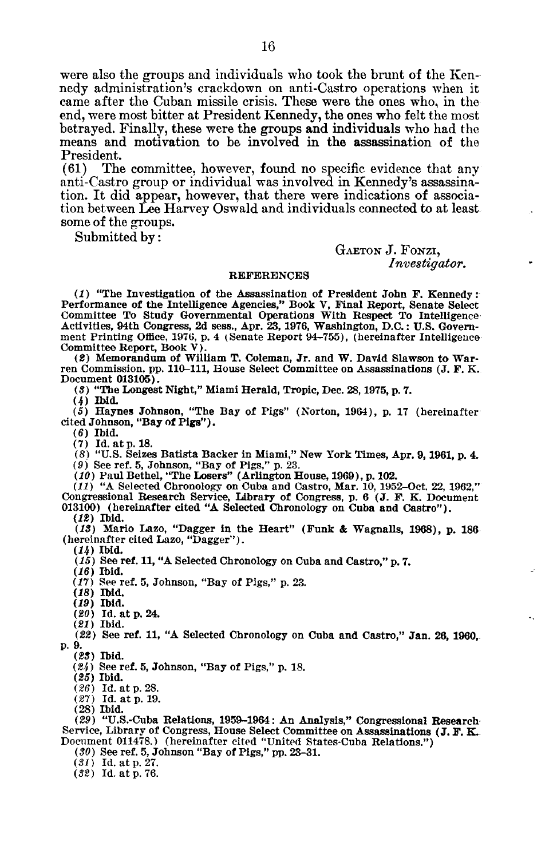were also the groups and individuals who took the brunt of the Kennedy administration's crackdown on anti-Castro operations when it came after the Cuban missile crisis . These were the ones who, in the end, were most bitter at President Kennedy, the ones who felt the most betrayed. Finally, these were the groups and individuals who had the means and motivation to be involved in the assassination of the President.<br>(61) The

The committee, however, found no specific evidence that any anti-Castro group or individual was involved in Kennedy's assassination . It did appear, however, that there were indications of association between Lee Harvey Oswald and individuals connected to at least some of the groups.

Submitted by:

## GAETON J. FoNzi, Investigator.

## REFERENCES

 $(1)$  "The Investigation of the Assassination of President John F. Kennedy: Performance of the Intelligence Agencies," Book V, Final Report, Senate Select Committee To Study Governmental Operations With Respect To Intelligence Activities, 94th Congress, 2d seas., Apr. 23, 1976, Washington, D.C . : U.S . Government Printing Office, 1976, p. 4 (Senate Report 94-755), (hereinafter Intelligence Committee Report, Book V) .

(2) Memorandum of William T. Coleman, Jr. and W. David Slawson to Warren Commission, pp. 110-111, House Select Committee on Assassinations (J. F. K. Document 013105) .

(8) "The Longest Night," Miami Herald, Tropic, Dec. 28, 1975, p. 7.

 $(4)$  Ibid.

 $(5)$  Haynes Johnson, "The Bay of Pigs" (Norton, 1964), p. 17 (hereinafter cited Johnson, "Bay of Pigs") .

(6) Ibid.

(7) Id. at p. 18. (8) "U.S . Seizes Batista Backer in Miami," New York Times, Apr. 9, 1961, p. 4.  $(9)$  See ref. 5, Johnson, "Bay of Pigs," p. 23.

(10) Paul Bethel, "The Losers" (Arlington House, 1969), p. 102.

(11) "A Selected Chronology on Cuba and Castro, Mar. 10, 1952–Oct. 22, 1962,"<br>Congressional Research Service, Library of Congress, p. 6 (J. F. K. Document<br>013100) (hereinafter cited "A Selected Chronology on Cuba and Cast

(12) Ibid.

(13) Mario Lazo, "Dagger in the Heart" (Funk & Wagnalls, 1968), p. 186 (hereinafter cited Lazo, "Dagger") .

(14) Ibid.

(15) See ref. 11, "A Selected Chronology on Cuba and Castro," p. <sup>7</sup> .

(16) Ibid.

 $(17)$  See ref. 5, Johnson, "Bay of Pigs," p. 23.

(18) Ibid.

(19) Ibid.

(20) Id. at p. 24.

(21) Ibid.

 $(22)$  See ref. 11, "A Selected Chronology on Cuba and Castro," Jan. 26, 1960, p. 9.

(2S) Ibid.

(24) See ref. 5, Johnson, "Bay of Pigs," p. 18.

(25) Ibid.

(26) Id. at p. 28.

(27) Id. at p. 19.

 $(28)$  Ibid.

(29) "U.S .Cuba Relations, 1959-1964 : An Analysis," Congressional Research Service, Library of Congress, House Select Committee on Assassinations (J. F. K. Document 011478.) (hereinafter cited "United States-Cuba Relations.")

(80) See ref. 5, Johnson "Bay of Pigs," pp. 23-31.

(81) Id. at p. 27.

(32) Id. at p. 76.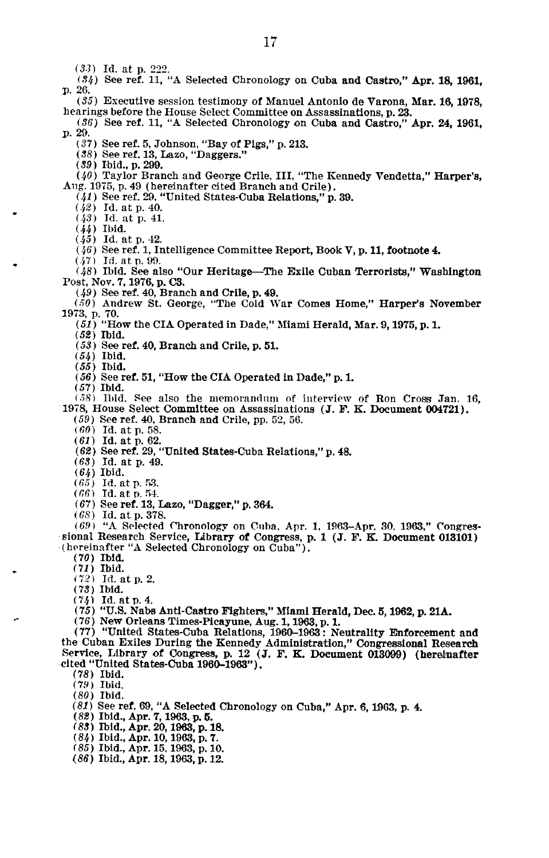(33) Id. at p. 222.

(34) See ref . 11, "A Selected Chronology on Cuba and Castro," Apr. 18, 1961, p. 26.

(35) Executive session testimony of Manuel Antonio de Varona, Mar. 16, 1978, hearings before the House Select Committee on Assassinations, p. 23.

(36) See ref. 11, "A Selected Chronology on Cuba and Castro," Apr. 24, 1961, p. 29.

(37) See ref. 5, Johnson, "Bay of Pigs," p. 213.

 $(38)$  See ref. 13, Lazo, "Daggers."

(39) Ibid., p. 299.

(40) Taylor Branch and George Crile. III, "The Kennedy Vendetta," Harper's, Aug. 1975, p. 49 (hereinafter cited Branch and Crile) .

(41) See ref. 29. "United States-Cuba Relations," p. 39.

( $42$ ) Id. at p. 40.

 $(43)$  Id. at p. 41.

(44) Ibid.

 $(45)$  Id. at p. 42.

(46) See ref. 1, Intelligence Committee Report, Book V, p.11, footnote 4.

(47) Id. at p. 99

 $(48)$  Ibid. See also "Our Heritage—The Exile Cuban Terrorists," Washington Post, Nov. 7, 1976, p. C3.

(49) See ref. 40, Branch and Crile, p. 49.

(50) Andrew St. George, "The Cold War Comes Home," Harper's November

1973, p. 70. (51) "How the CIA Operated in Dade," Miami Herald, Mar. 9,1975, p.1.

 $(52)$  Ibid.

(53) See ref. 40, Branch and Crile, p. 51.

 $(54)$  Ibid.

(55) Ibid.<br>(56) See ref. 51, "How the CIA Operated in Dade," p. 1.<br>(53) Ibid.

(57) Ibid.

 $(58)$  Ibid. See also the memorandum of interview of Ron Cross Jan. 16, 1978, House Select Committee on Assassinations (J. F. K. Document 004721) .

(59) See ref. 40, Branch and Crile, pp. 52, 56.

(60) Id. at p. 58.

(61) Id. at p. 62. (62) See ref. 29, "United States-Cuba Relations," p. 48.

(63) Id. at p. 49.

(64) Ibid.

 $(65)$  Id. at p. 53.<br> $(66)$  Id. at p. 54.

(66) Id. at p. 54. (67) See ref. 13, Lazo, "Dagger," p. 364.

(68) Id. at p. 378.

(69) "A Selected Chronology on Cuba. Apr. 1, 1963-Apr. 30. 1963," Congressional Research Service, Library of Congress, p. <sup>1</sup> (J. F. K. Document 013101) (hereinafter "A Selected Chronology on Cuba") .

(70) Ibid.

(71) Ibid.

 $(72)$  Id. at p. 2.

(73) Ibid.

(74) Id. at p. 4.

(75) "U.S. Nabs Anti-Castro Fighters," Miami Herald, Dec. 5, 1962, p. 21A.

(76) New Orleans Times-Picayune, Aug. 1,1963, p. <sup>1</sup> .

(77) "United States-Cuba Relations, 1960-1963 : Neutrality Enforcement and the Cuban Exiles During the Kennedy Administration," Congressional Research Service, Library of Congress, p. <sup>12</sup> (J. F. K. Document 013099) (hereinafter cited "United States-Cuba 1960-1963") .

(78) Ibid.

 $(79)$  Ibid.

(80) Ibid.

 $(81)$  See ref. 69, "A Selected Chronology on Cuba." Apr. 6, 1963, p. 4.

(82) Ibid., Apr. 7, 1963, p. 5.

 $(83)$  Ibid., Apr. 20, 1963, p. 18.<br> $(84)$  Ibid., Apr. 10, 1962, p. 7.

(84) Ibid., Apr. 10, 1963, p. 7.

(85) Ibid., Apr. 15, 1963, p. 10.

(86) Ibid., Apr. 18, 1963, p.12.